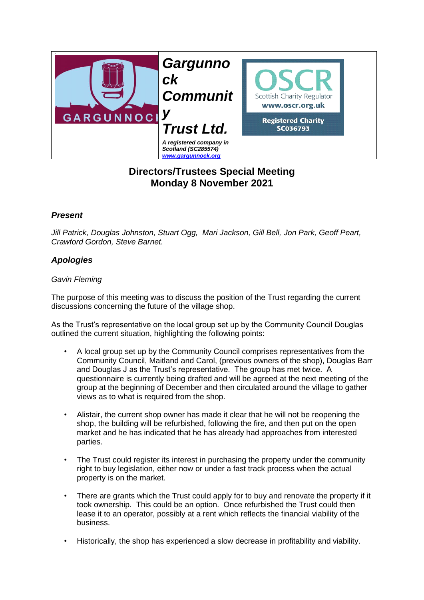

## **Directors/Trustees Special Meeting Monday 8 November 2021**

## *Present*

*Jill Patrick, Douglas Johnston, Stuart Ogg, Mari Jackson, Gill Bell, Jon Park, Geoff Peart, Crawford Gordon, Steve Barnet.* 

## *Apologies*

## *Gavin Fleming*

The purpose of this meeting was to discuss the position of the Trust regarding the current discussions concerning the future of the village shop.

As the Trust's representative on the local group set up by the Community Council Douglas outlined the current situation, highlighting the following points:

- A local group set up by the Community Council comprises representatives from the Community Council, Maitland and Carol, (previous owners of the shop), Douglas Barr and Douglas J as the Trust's representative. The group has met twice. A questionnaire is currently being drafted and will be agreed at the next meeting of the group at the beginning of December and then circulated around the village to gather views as to what is required from the shop.
- Alistair, the current shop owner has made it clear that he will not be reopening the shop, the building will be refurbished, following the fire, and then put on the open market and he has indicated that he has already had approaches from interested parties.
- The Trust could register its interest in purchasing the property under the community right to buy legislation, either now or under a fast track process when the actual property is on the market.
- There are grants which the Trust could apply for to buy and renovate the property if it took ownership. This could be an option. Once refurbished the Trust could then lease it to an operator, possibly at a rent which reflects the financial viability of the business.
- Historically, the shop has experienced a slow decrease in profitability and viability.